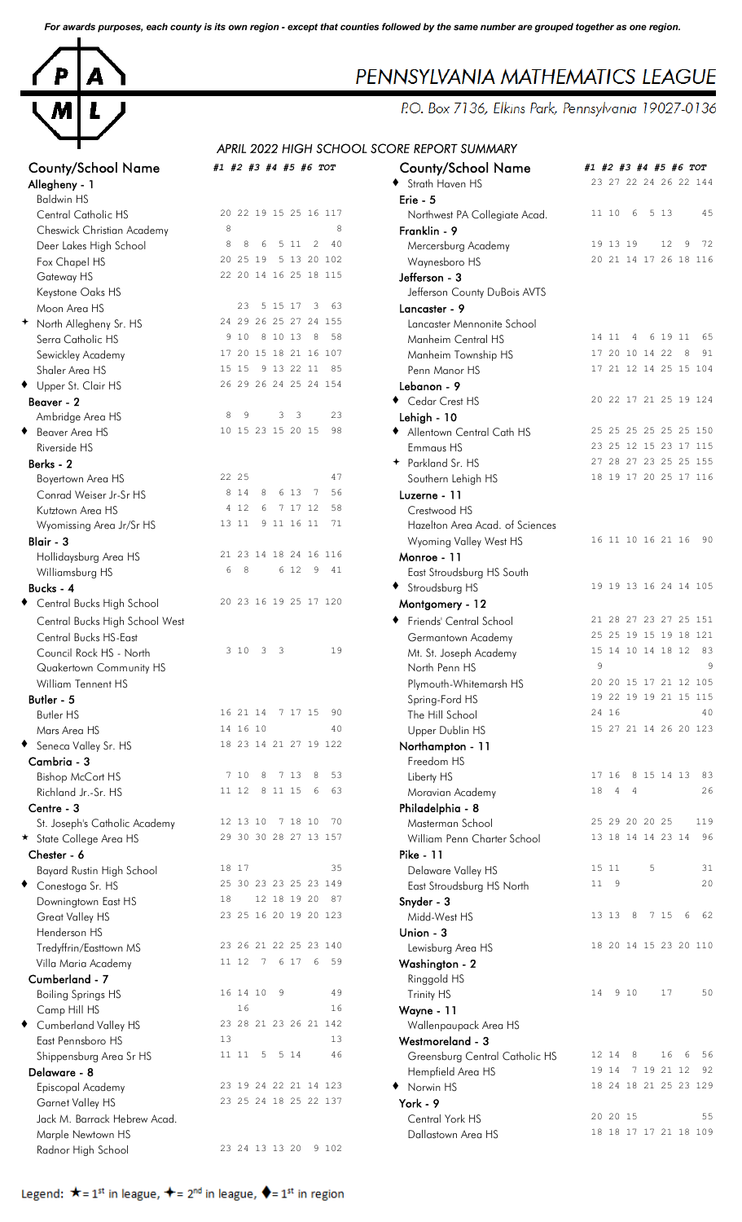*For awards purposes, each county is its own region - except that counties followed by the same number are grouped together as one region.*



| Allegheny - 1                  |                                             | Strath Haven HS                 | 2                       |
|--------------------------------|---------------------------------------------|---------------------------------|-------------------------|
| <b>Baldwin HS</b>              |                                             | Erie - 5                        |                         |
| Central Catholic HS            | 20 22 19 15 25 16 117                       | Northwest PA Collegiate Acad.   | $\mathbf{1}$            |
| Cheswick Christian Academy     | 8<br>8                                      | Franklin - 9                    |                         |
| Deer Lakes High School         | 8<br>8<br>6<br>5 11<br>2<br>40              | Mercersburg Academy             | 1                       |
| Fox Chapel HS                  | 20 25 19<br>5 13 20 102                     | Waynesboro HS                   | $\overline{c}$          |
| Gateway HS                     | 22 20 14 16 25 18 115                       | Jefferson - 3                   |                         |
| Keystone Oaks HS               |                                             | Jefferson County DuBois AVTS    |                         |
| Moon Area HS                   | 23<br>5 15 17<br>63<br>3                    | Lancaster - 9                   |                         |
| + North Allegheny Sr. HS       | 24 29 26 25 27 24 155                       | Lancaster Mennonite School      |                         |
| Serra Catholic HS              | 9 1 0<br>8 10 13<br>8<br>58                 | Manheim Central HS              | $\mathbf{1}$            |
| Sewickley Academy              | 17 20 15 18 21 16 107                       | Manheim Township HS             | $\mathbf{1}$            |
| Shaler Area HS                 | 15 15<br>9 13 22 11<br>85                   | Penn Manor HS                   | $\mathbf{1}$            |
| ◆ Upper St. Clair HS           | 26 29 26 24 25 24 154                       | Lebanon - 9                     |                         |
| Beaver - 2                     |                                             | Cedar Crest HS                  | $\overline{c}$          |
| Ambridge Area HS               | 23<br>8<br>9<br>3<br>3                      | Lehigh - 10                     |                         |
| ◆ Beaver Area HS               | 10 15 23 15 20 15<br>98                     | Allentown Central Cath HS       | $\overline{\mathbf{c}}$ |
| Riverside HS                   |                                             | Emmaus HS                       | $\overline{c}$          |
| Berks - 2                      |                                             | + Parkland Sr. HS               | $\overline{c}$          |
|                                | 22 25<br>47                                 |                                 | $\mathbf{1}$            |
| Boyertown Area HS              | 8 1 4<br>6 13<br>$\overline{7}$<br>56<br>8  | Southern Lehigh HS              |                         |
| Conrad Weiser Jr-Sr HS         | 4 1 2<br>7 17 12<br>58<br>6                 | Luzerne - 11                    |                         |
| Kutztown Area HS               | 71                                          | Crestwood HS                    |                         |
| Wyomissing Area Jr/Sr HS       | 13 11<br>9 11 16 11                         | Hazelton Area Acad. of Sciences |                         |
| Blair - 3                      |                                             | Wyoming Valley West HS          | 1                       |
| Hollidaysburg Area HS          | 21 23 14 18 24 16 116                       | Monroe - 11                     |                         |
| Williamsburg HS                | 6<br>8<br>6 12<br>9<br>41                   | East Stroudsburg HS South       |                         |
| Bucks - 4                      |                                             | Stroudsburg HS                  | $\mathbf{1}$            |
| ♦ Central Bucks High School    | 20 23 16 19 25 17 120                       | Montgomery - 12                 |                         |
| Central Bucks High School West |                                             | Friends' Central School         | $\overline{c}$          |
| Central Bucks HS-East          |                                             | Germantown Academy              | $\overline{c}$          |
| Council Rock HS - North        | 3 1 0<br>3<br>19<br>$\overline{\mathbf{3}}$ | Mt. St. Joseph Academy          | $\mathbf{1}$            |
| Quakertown Community HS        |                                             | North Penn HS                   |                         |
| William Tennent HS             |                                             | Plymouth-Whitemarsh HS          | $\overline{c}$          |
| Butler - 5                     |                                             | Spring-Ford HS                  | 1                       |
| <b>Butler HS</b>               | 16 21 14 7 17 15<br>90                      | The Hill School                 | $\overline{c}$          |
| Mars Area HS                   | 14 16 10<br>40                              | Upper Dublin HS                 | 1                       |
| Seneca Valley Sr. HS<br>٠      | 18 23 14 21 27 19 122                       | Northampton - 11                |                         |
| Cambria - 3                    |                                             | Freedom HS                      |                         |
| <b>Bishop McCort HS</b>        | 7 10<br>8<br>7 13<br>8<br>53                | Liberty HS                      | $\mathbf{1}$            |
| Richland Jr.-Sr. HS            | 11 12<br>63<br>8 11 15<br>6                 | Moravian Academy                | $\mathbf{1}$            |
| Centre - 3                     |                                             | Philadelphia - 8                |                         |
|                                | 12 13 10<br>7 18 10<br>70                   |                                 | $\overline{c}$          |
| St. Joseph's Catholic Academy  | 29 30 30 28 27 13 157                       | Masterman School                | $\mathbf{1}$            |
| ★ State College Area HS        |                                             | William Penn Charter School     |                         |
| Chester - 6                    | 35                                          | <b>Pike - 11</b>                | $\mathbf{1}$            |
| Bayard Rustin High School      | 18 17                                       | Delaware Valley HS              |                         |
| ◆ Conestoga Sr. HS             | 25 30 23 23 25 23 149                       | East Stroudsburg HS North       | $\mathbf{1}$            |
| Downingtown East HS            | 18<br>12 18 19 20<br>87                     | Snyder - 3                      |                         |
| Great Valley HS                | 23 25 16 20 19 20 123                       | Midd-West HS                    | $\mathbf{1}$            |
| Henderson HS                   |                                             | Union - 3                       |                         |
| Tredyffrin/Easttown MS         | 23 26 21 22 25 23 140                       | Lewisburg Area HS               | $\mathbf{1}$            |
| Villa Maria Academy            | 11 12<br>7<br>6 17<br>6<br>59               | Washington - 2                  |                         |
| Cumberland - 7                 |                                             | Ringgold HS                     |                         |
| <b>Boiling Springs HS</b>      | 16 14 10<br>9<br>49                         | Trinity HS                      | $\mathbf{1}$            |
| Camp Hill HS                   | 16<br>16                                    | Wayne - 11                      |                         |
| ◆ Cumberland Valley HS         | 23 28 21 23 26 21 142                       | Wallenpaupack Area HS           |                         |
| East Pennsboro HS              | 13<br>13                                    | Westmoreland - 3                |                         |
| Shippensburg Area Sr HS        | 11 11<br>5 14<br>46<br>5                    | Greensburg Central Catholic HS  | 1                       |
| Delaware - 8                   |                                             | Hempfield Area HS               | 1                       |
| Episcopal Academy              | 23 19 24 22 21 14 123                       | Norwin HS                       | $\mathbf{1}$            |
| Garnet Valley HS               | 23 25 24 18 25 22 137                       | York - 9                        |                         |
| Jack M. Barrack Hebrew Acad.   |                                             | Central York HS                 | $\overline{c}$          |
| Marple Newtown HS              |                                             | Dallastown Area HS              | $\mathbf{1}$            |
| Radnor High School             | 23 24 13 13 20<br>9 102                     |                                 |                         |
|                                |                                             |                                 |                         |

# *APRIL 2022 HIGH SCHOOL SCORE REPORT SUMMARY* County/School Name *#1 #2 #3 #4 #5 #6 TOT* County/School Name *#1 #2 #3 #4 #5 #6 TOT* • Strath Haven HS 23 27 22 24 26 22 144 Northwest PA Collegiate Acad. 11 10 6 5 13 45 Franklin - 9 Mercersburg Academy 19 13 19 12 9 72 Waynesboro HS 20 21 14 17 26 18 116 Jefferson - 3 Jefferson County DuBois AVTS Lancaster - 9 Lancaster Mennonite School Manheim Central HS 14 11 4 6 19 11 65 Manheim Township HS 17 20 10 14 22 8 91 Penn Manor HS 17 21 12 14 25 15 104 Lebanon - 9 ◆ Cedar Crest HS 20 22 17 21 25 19 124 Lehigh - 10 Allentown Central Cath HS 25 25 25 25 25 25 25 150 Emmaus HS 23 25 12 15 23 17 115 Parkland Sr. HS 27 28 27 28 27 23 25 25 155 Southern Lehigh HS 18 19 17 20 25 17 116 Luzerne - 11 Hazelton Area Acad. of Sciences<br>Wyoming Valley West HS 14 10 16 21 16 90 Wyoming Valley West HS Monroe - 11 East Stroudsburg HS South Stroudsburg HS 19 19 19 13 16 24 14 105 Montgomery - 12 ◆ Friends' Central School 21 28 27 23 27 25 151 Germantown Academy 25 25 25 19 15 19 18 121 Mt. St. Joseph Academy 15 14 10 14 18 12 83 Quakertown Community HS North Penn HS 9 9 Plymouth-Whitemarsh HS 20 20 15 17 21 12 105 Spring-Ford HS 19 22 19 19 21 15 115 Butler HS 16 21 14 7 17 15 90 The Hill School 24 16 24 16 Upper Dublin HS 15 27 21 14 26 20 123 Northampton - 11 Liberty HS 17 16 8 15 14 13 83 Moravian Academy 18 18 4 4 26 Philadelphia - 8 Masterman School 25 29 20 20 25 119<br>William Penn Charter School 13 18 14 14 23 14 96 William Penn Charter School Pike - 11 Delaware Valley HS 15 11 5 31 East Stroudsburg HS North 11 9 20 Snyder - 3 Midd-West HS 23 23 23 23 23 24 13 20 213 213 214 215 22 Lewisburg Area HS 20 20 21 25 23 20 110 Washington - 2 Boiling Springs HS 18 16 14 10 9 49 Trinity HS 14 9 10 17 50 Wayne - 11 Wallenpaupack Area HS Westmoreland - 3 Greensburg Central Catholic HS 12 14 8 16 6 56 Hempfield Area HS 19 14 7 19 21 12 92 ◆ Norwin HS 18 24 18 21 25 23 129 Jack M. Barrack Hebrew Acad. Central York HS 20 20 15 55 Dallastown Area HS 18 18 17 17 21 18 109

# PENNSYLVANIA MATHEMATICS LEAGUE

P.O. Box 7136, Elkins Park, Pennsylvania 19027-0136